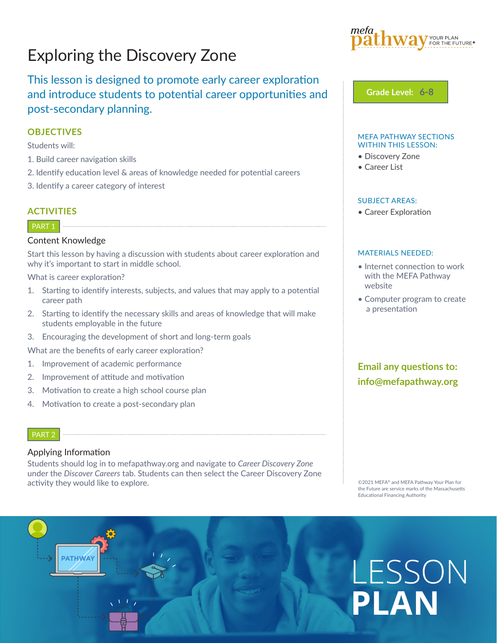## Exploring the Discovery Zone

#### This lesson is designed to promote early career exploration and introduce students to potential career opportunities and post-secondary planning.

#### **OBJECTIVES**

Students will:

- 1. Build career navigation skills
- 2. Identify education level & areas of knowledge needed for potential careers
- 3. Identify a career category of interest

#### **ACTIVITIES**

#### PART<sub>1</sub>

#### Content Knowledge

Start this lesson by having a discussion with students about career exploration and why it's important to start in middle school.

What is career exploration?

- 1. Starting to identify interests, subjects, and values that may apply to a potential career path
- 2. Starting to identify the necessary skills and areas of knowledge that will make students employable in the future
- 3. Encouraging the development of short and long-term goals

What are the benefits of early career exploration?

- 1. Improvement of academic performance
- 2. Improvement of attitude and motivation
- 3. Motivation to create a high school course plan

 $\mathcal{N}$   $\mathcal{N}$ 

4. Motivation to create a post-secondary plan

#### PART 2

#### Applying Information

Students should log in to mefapathway.org and navigate to *Career Discovery Zone* under the *Discover Careers* tab. Students can then select the Career Discovery Zone activity they would like to explore.



**Grade Level: 6-8**

#### MEFA PATHWAY SECTIONS WITHIN THIS LESSON:

- Discovery Zone
- Career List

#### SUBJECT AREAS:

• Career Exploration

#### MATERIALS NEEDED:

- Internet connection to work with the MEFA Pathway website
- Computer program to create a presentation

#### **Email any questions to: info@mefapathway.org**

©2021 MEFA® and MEFA Pathway Your Plan for the Future are service marks of the Massachusetts Educational Financing Authority

# **PATHWAY** LESSON **PLAN**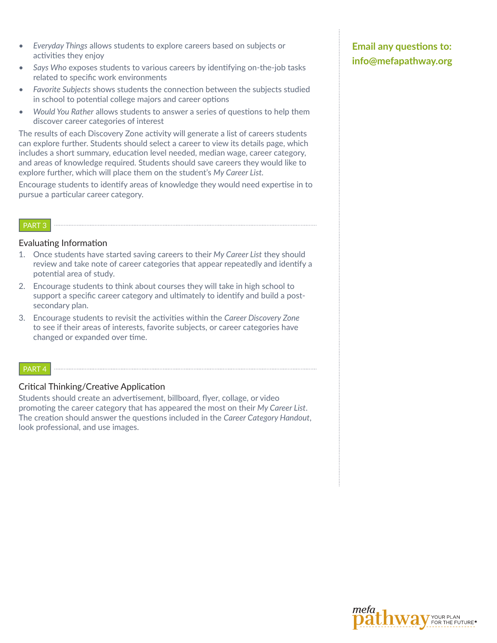- *• Everyday Things* allows students to explore careers based on subjects or activities they enjoy
- *• Says Who* exposes students to various careers by identifying on-the-job tasks related to specific work environments
- *• Favorite Subjects* shows students the connection between the subjects studied in school to potential college majors and career options
- *• Would You Rather* allows students to answer a series of questions to help them discover career categories of interest

The results of each Discovery Zone activity will generate a list of careers students can explore further. Students should select a career to view its details page, which includes a short summary, education level needed, median wage, career category, and areas of knowledge required. Students should save careers they would like to explore further, which will place them on the student's *My Career List.*

Encourage students to identify areas of knowledge they would need expertise in to pursue a particular career category.

#### PART 3

#### Evaluating Information

- 1. Once students have started saving careers to their *My Career List* they should review and take note of career categories that appear repeatedly and identify a potential area of study.
- 2. Encourage students to think about courses they will take in high school to support a specific career category and ultimately to identify and build a postsecondary plan.
- 3. Encourage students to revisit the activities within the *Career Discovery Zone* to see if their areas of interests, favorite subjects, or career categories have changed or expanded over time.

#### PART 4

#### Critical Thinking/Creative Application

Students should create an advertisement, billboard, flyer, collage, or video promoting the career category that has appeared the most on their *My Career List*. The creation should answer the questions included in the *Career Category Handout*, look professional, and use images.

#### **Email any questions to: info@mefapathway.org**

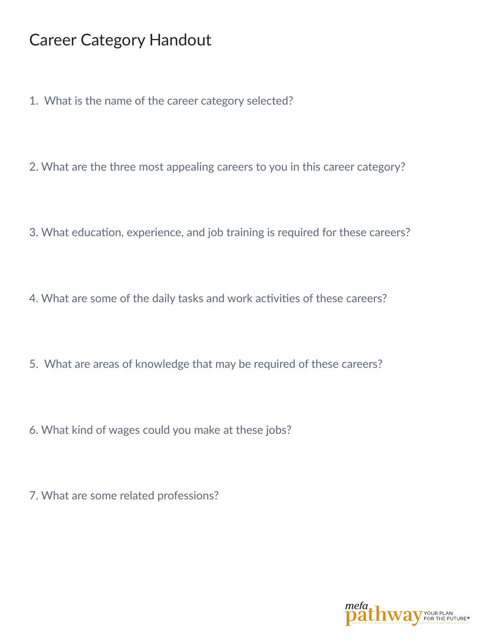### Career Category Handout

- 1. What is the name of the career category selected?
- 2. What are the three most appealing careers to you in this career category?
- 3. What education, experience, and job training is required for these careers?
- 4. What are some of the daily tasks and work activities of these careers?
- 5. What are areas of knowledge that may be required of these careers?
- 6. What kind of wages could you make at these jobs?
- 7. What are some related professions?